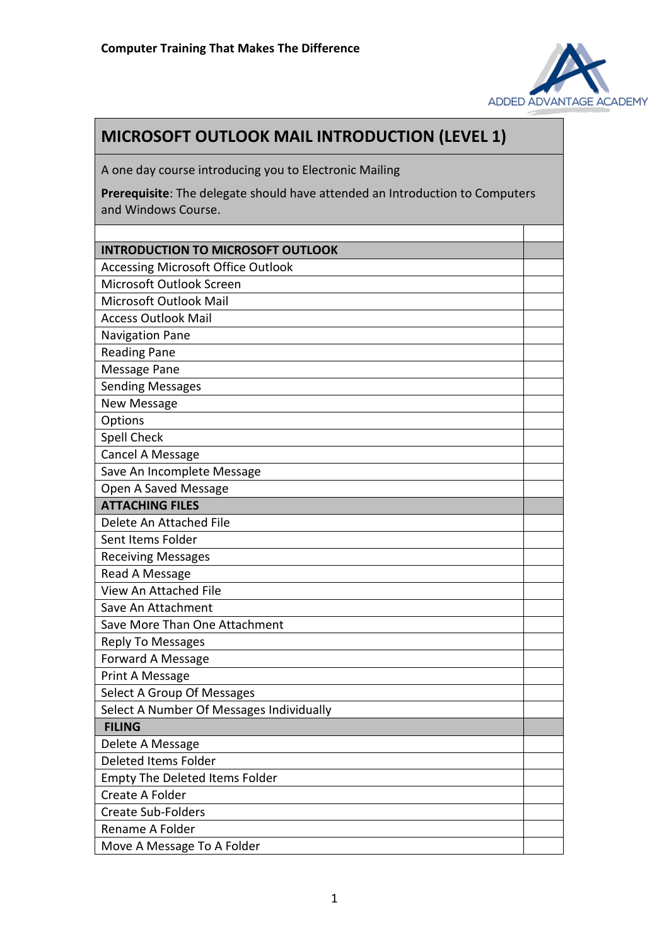

## **MICROSOFT OUTLOOK MAIL INTRODUCTION (LEVEL 1)**

A one day course introducing you to Electronic Mailing

**Prerequisite**: The delegate should have attended an Introduction to Computers and Windows Course.

| <b>INTRODUCTION TO MICROSOFT OUTLOOK</b>  |  |
|-------------------------------------------|--|
| <b>Accessing Microsoft Office Outlook</b> |  |
| Microsoft Outlook Screen                  |  |
| Microsoft Outlook Mail                    |  |
| <b>Access Outlook Mail</b>                |  |
| <b>Navigation Pane</b>                    |  |
| <b>Reading Pane</b>                       |  |
| Message Pane                              |  |
| <b>Sending Messages</b>                   |  |
| New Message                               |  |
| Options                                   |  |
| Spell Check                               |  |
| Cancel A Message                          |  |
| Save An Incomplete Message                |  |
| Open A Saved Message                      |  |
| <b>ATTACHING FILES</b>                    |  |
| Delete An Attached File                   |  |
| Sent Items Folder                         |  |
| <b>Receiving Messages</b>                 |  |
| Read A Message                            |  |
| View An Attached File                     |  |
| Save An Attachment                        |  |
| Save More Than One Attachment             |  |
| <b>Reply To Messages</b>                  |  |
| Forward A Message                         |  |
| Print A Message                           |  |
| Select A Group Of Messages                |  |
| Select A Number Of Messages Individually  |  |
| <b>FILING</b>                             |  |
| Delete A Message                          |  |
| Deleted Items Folder                      |  |
| <b>Empty The Deleted Items Folder</b>     |  |
| Create A Folder                           |  |
| <b>Create Sub-Folders</b>                 |  |
| Rename A Folder                           |  |
| Move A Message To A Folder                |  |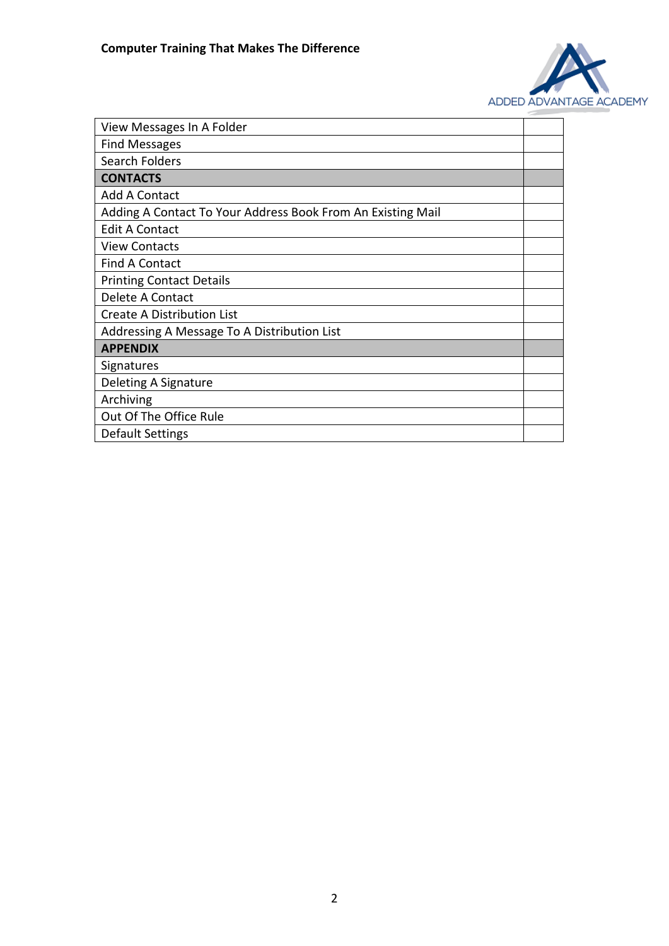

| View Messages In A Folder                                   |  |
|-------------------------------------------------------------|--|
| <b>Find Messages</b>                                        |  |
| Search Folders                                              |  |
| <b>CONTACTS</b>                                             |  |
| <b>Add A Contact</b>                                        |  |
| Adding A Contact To Your Address Book From An Existing Mail |  |
| <b>Edit A Contact</b>                                       |  |
| <b>View Contacts</b>                                        |  |
| <b>Find A Contact</b>                                       |  |
| <b>Printing Contact Details</b>                             |  |
| Delete A Contact                                            |  |
| Create A Distribution List                                  |  |
| Addressing A Message To A Distribution List                 |  |
| <b>APPENDIX</b>                                             |  |
| Signatures                                                  |  |
| Deleting A Signature                                        |  |
| Archiving                                                   |  |
| Out Of The Office Rule                                      |  |
| Default Settings                                            |  |
|                                                             |  |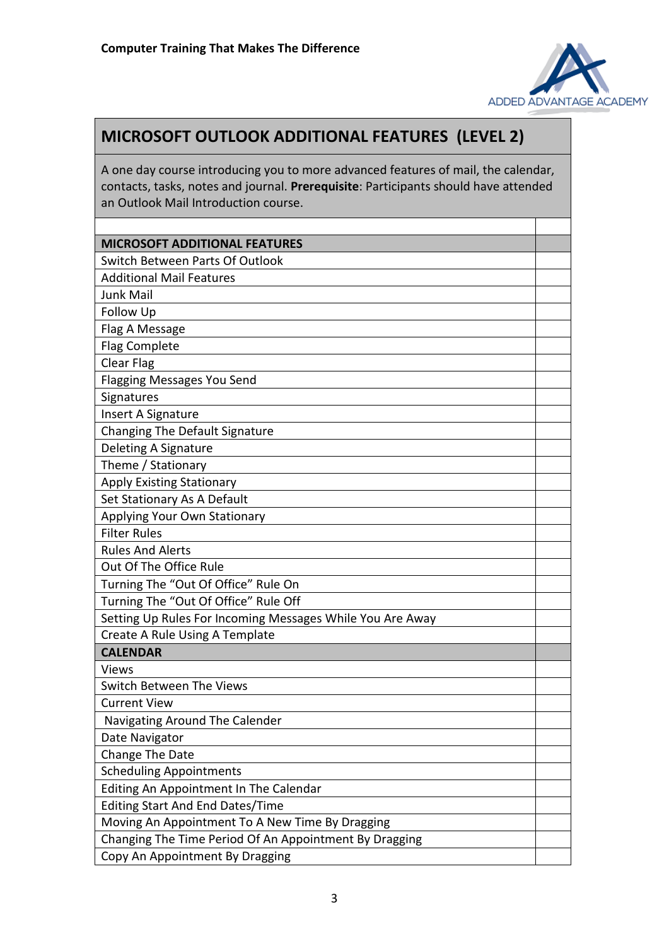

## **MICROSOFT OUTLOOK ADDITIONAL FEATURES (LEVEL 2)**

A one day course introducing you to more advanced features of mail, the calendar, contacts, tasks, notes and journal. **Prerequisite**: Participants should have attended an Outlook Mail Introduction course.

| <b>MICROSOFT ADDITIONAL FEATURES</b>                      |  |
|-----------------------------------------------------------|--|
| Switch Between Parts Of Outlook                           |  |
| <b>Additional Mail Features</b>                           |  |
| <b>Junk Mail</b>                                          |  |
| Follow Up                                                 |  |
| Flag A Message                                            |  |
| <b>Flag Complete</b>                                      |  |
| Clear Flag                                                |  |
| <b>Flagging Messages You Send</b>                         |  |
| Signatures                                                |  |
| Insert A Signature                                        |  |
| Changing The Default Signature                            |  |
| Deleting A Signature                                      |  |
| Theme / Stationary                                        |  |
| <b>Apply Existing Stationary</b>                          |  |
| Set Stationary As A Default                               |  |
| Applying Your Own Stationary                              |  |
| <b>Filter Rules</b>                                       |  |
| <b>Rules And Alerts</b>                                   |  |
| Out Of The Office Rule                                    |  |
| Turning The "Out Of Office" Rule On                       |  |
| Turning The "Out Of Office" Rule Off                      |  |
| Setting Up Rules For Incoming Messages While You Are Away |  |
| Create A Rule Using A Template                            |  |
| <b>CALENDAR</b>                                           |  |
| <b>Views</b>                                              |  |
| Switch Between The Views                                  |  |
| <b>Current View</b>                                       |  |
| Navigating Around The Calender                            |  |
| Date Navigator                                            |  |
| Change The Date                                           |  |
| <b>Scheduling Appointments</b>                            |  |
| Editing An Appointment In The Calendar                    |  |
| <b>Editing Start And End Dates/Time</b>                   |  |
| Moving An Appointment To A New Time By Dragging           |  |
| Changing The Time Period Of An Appointment By Dragging    |  |
| Copy An Appointment By Dragging                           |  |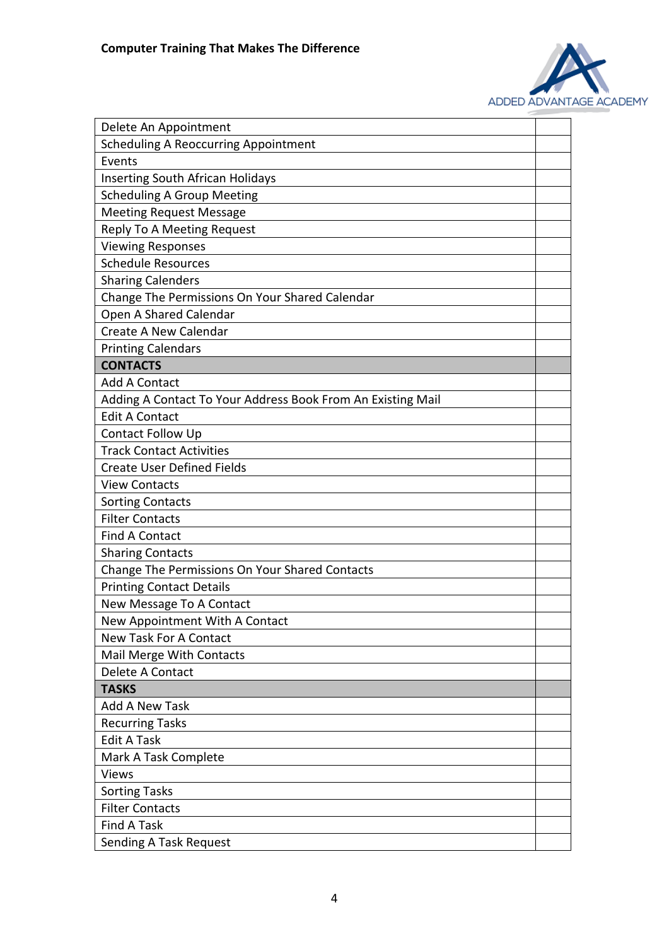

| Delete An Appointment                                       |  |
|-------------------------------------------------------------|--|
| <b>Scheduling A Reoccurring Appointment</b>                 |  |
| Events                                                      |  |
| <b>Inserting South African Holidays</b>                     |  |
| <b>Scheduling A Group Meeting</b>                           |  |
| <b>Meeting Request Message</b>                              |  |
| Reply To A Meeting Request                                  |  |
| <b>Viewing Responses</b>                                    |  |
| <b>Schedule Resources</b>                                   |  |
| <b>Sharing Calenders</b>                                    |  |
| Change The Permissions On Your Shared Calendar              |  |
| Open A Shared Calendar                                      |  |
| Create A New Calendar                                       |  |
| <b>Printing Calendars</b>                                   |  |
| <b>CONTACTS</b>                                             |  |
| <b>Add A Contact</b>                                        |  |
| Adding A Contact To Your Address Book From An Existing Mail |  |
| <b>Edit A Contact</b>                                       |  |
| Contact Follow Up                                           |  |
| <b>Track Contact Activities</b>                             |  |
| <b>Create User Defined Fields</b>                           |  |
| <b>View Contacts</b>                                        |  |
| <b>Sorting Contacts</b>                                     |  |
| <b>Filter Contacts</b>                                      |  |
| <b>Find A Contact</b>                                       |  |
| <b>Sharing Contacts</b>                                     |  |
| Change The Permissions On Your Shared Contacts              |  |
| <b>Printing Contact Details</b>                             |  |
| New Message To A Contact                                    |  |
| New Appointment With A Contact                              |  |
| <b>New Task For A Contact</b>                               |  |
| Mail Merge With Contacts                                    |  |
| Delete A Contact                                            |  |
| <b>TASKS</b>                                                |  |
| Add A New Task                                              |  |
| <b>Recurring Tasks</b>                                      |  |
| <b>Edit A Task</b>                                          |  |
| Mark A Task Complete                                        |  |
| <b>Views</b>                                                |  |
| <b>Sorting Tasks</b>                                        |  |
| <b>Filter Contacts</b>                                      |  |
| Find A Task                                                 |  |
| <b>Sending A Task Request</b>                               |  |